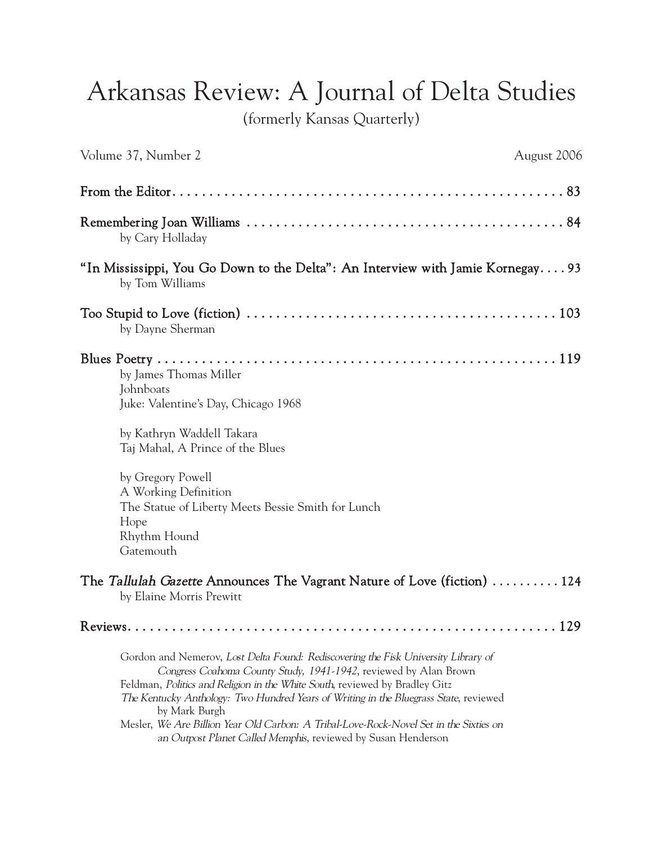## Arkansas Review: A Journal of Delta Studies

(formerly Kansas Quarterly)

| Volume 37, Number 2<br>August 2006                                                                                                                                                                                                                                                                                                                                                                                                                                                                         |  |
|------------------------------------------------------------------------------------------------------------------------------------------------------------------------------------------------------------------------------------------------------------------------------------------------------------------------------------------------------------------------------------------------------------------------------------------------------------------------------------------------------------|--|
|                                                                                                                                                                                                                                                                                                                                                                                                                                                                                                            |  |
| by Cary Holladay                                                                                                                                                                                                                                                                                                                                                                                                                                                                                           |  |
| "In Mississippi, You Go Down to the Delta": An Interview with Jamie Kornegay93<br>by Tom Williams                                                                                                                                                                                                                                                                                                                                                                                                          |  |
| by Dayne Sherman                                                                                                                                                                                                                                                                                                                                                                                                                                                                                           |  |
| by James Thomas Miller<br>Johnboats<br>Juke: Valentine's Day, Chicago 1968                                                                                                                                                                                                                                                                                                                                                                                                                                 |  |
| by Kathryn Waddell Takara<br>Taj Mahal, A Prince of the Blues                                                                                                                                                                                                                                                                                                                                                                                                                                              |  |
| by Gregory Powell<br>A Working Definition<br>The Statue of Liberty Meets Bessie Smith for Lunch<br>Hope<br>Rhythm Hound<br>Gatemouth                                                                                                                                                                                                                                                                                                                                                                       |  |
| The Tallulah Gazette Announces The Vagrant Nature of Love (fiction)  124<br>by Elaine Morris Prewitt                                                                                                                                                                                                                                                                                                                                                                                                       |  |
|                                                                                                                                                                                                                                                                                                                                                                                                                                                                                                            |  |
| Gordon and Nemerov, Lost Delta Found: Rediscovering the Fisk University Library of<br>Congress Coahoma County Study, 1941-1942, reviewed by Alan Brown<br>Feldman, Politics and Religion in the White South, reviewed by Bradley Gitz<br>The Kentucky Anthology: Two Hundred Years of Writing in the Bluegrass State, reviewed<br>by Mark Burgh<br>Mesler, We Are Billion Year Old Carbon: A Tribal-Love-Rock-Novel Set in the Sixties on<br>an Outpost Planet Called Memphis, reviewed by Susan Henderson |  |